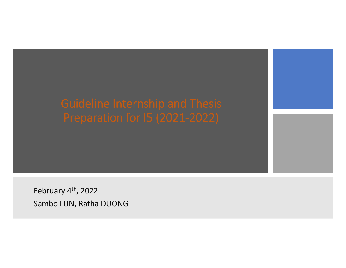February 4<sup>th</sup>, 2022 Sambo LUN, Ratha DUONG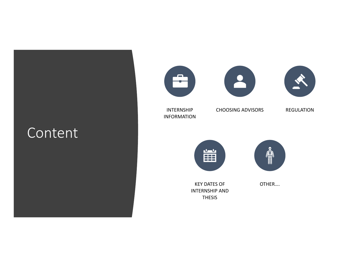## Content

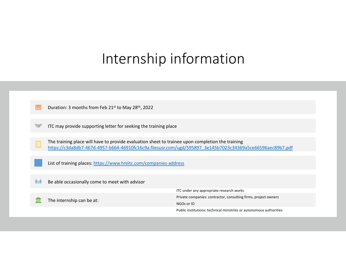## Internship information

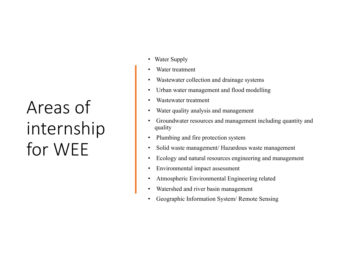# Areas of internship for WEE

- Water Supply
- •Water treatment
- Wastewater collection and drainage systems
- •Urban water management and flood modelling
- •Wastewater treatment
- •Water quality analysis and management
- • Groundwater resources and management including quantity and quality
- •Plumbing and fire protection system
- •Solid waste management/ Hazardous waste management
- •Ecology and natural resources engineering and management
- •Environmental impact assessment
- •Atmospheric Environmental Engineering related
- •Watershed and river basin management
- •Geographic Information System/ Remote Sensing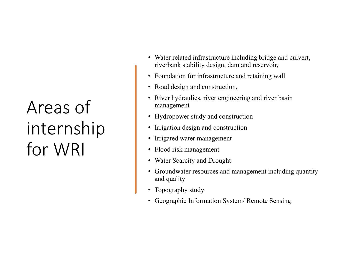# Areas of internship for WRI

- Water related infrastructure including bridge and culvert, riverbank stability design, dam and reservoir,
- Foundation for infrastructure and retaining wall
- Road design and construction,
- River hydraulics, river engineering and river basin management
- Hydropower study and construction
- Irrigation design and construction
- Irrigated water management
- Flood risk management
- Water Scarcity and Drought
- Groundwater resources and management including quantity and quality
- Topography study
- Geographic Information System/ Remote Sensing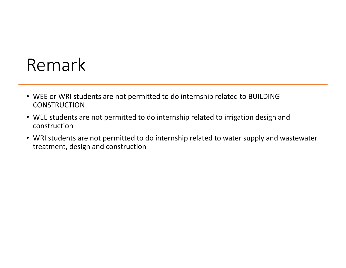## Remark

- WEE or WRI students are not permitted to do internship related to BUILDING **CONSTRUCTION**
- WEE students are not permitted to do internship related to irrigation design and construction
- WRI students are not permitted to do internship related to water supply and wastewater treatment, design and construction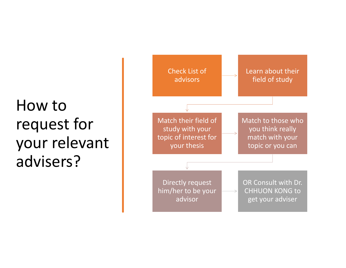## How to request for your relevant advisers?

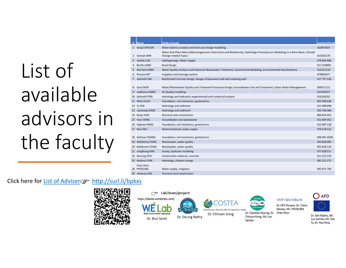# List of available advisors in the faculty

|   | N Name                  | <b>Fields of study</b>                                                                                                                                           | <b>Contact-Phone</b> |
|---|-------------------------|------------------------------------------------------------------------------------------------------------------------------------------------------------------|----------------------|
|   | 1 Kong CHHUON           | Water balance analysis and land use change modelling                                                                                                             | 010957037            |
|   | 2 Vannak ANN            | Water-Soil-Plant-Macro/Microorgamisms Interaction and Biodiversity, Hydrologic Processes (or Modeling) in a River Basin, Climate<br><b>Change-related Topics</b> | 015563170            |
|   | 3 Sambo LUN             | Hydrogeology, Water Supply                                                                                                                                       | 078 844 984          |
| 4 | Borith LONG             | Road Design                                                                                                                                                      | 017 220004           |
| 5 | Khy Eam EANG            | Water Quality Analysis and Industrial Wastewater Treatment, Geochemical Modeling, Environmental Geochemistry                                                     | 012311110            |
|   | 6 Pinnara KET           | Irrigation and drainage system                                                                                                                                   | 078900477            |
|   | 7 Samreth LIM           | Reinforced Concrete Design, Design of basement wall and retaining wall                                                                                           | 017 727 226          |
|   |                         |                                                                                                                                                                  |                      |
|   | 8 Saret BUN             | Water/Wastewater Quality and Treatment Processes Design; Groundwater Use and Treatment; Urban Water Management                                                   | 068721111            |
| 9 | Leakhena HANG           | Air Quality modeling                                                                                                                                             | 012594527            |
|   | 10 Sytharith PEN        | hydrology and hydraulics experimental and numerical analysis                                                                                                     | 016320332            |
|   | 11 Rithy OUCH           | Foundation, soil mechanics, geotechnics                                                                                                                          | 092 996 638          |
|   | 12 Ty SOK               | Hydrology and sediment                                                                                                                                           | 011 098 698          |
|   | 13 Layheang SONG        | Hydrology and sediment                                                                                                                                           | 092 796 466          |
|   | 14 Ketya HUN            | Structure and construction                                                                                                                                       | 089 834 452          |
|   | 15 Huor VENG            | Groundwater and wastewater                                                                                                                                       | 011 649 352          |
|   | 16 Salpisey HENG        | Foundation, soil mechanics, geotechnics                                                                                                                          | 012 687 218          |
|   | 17 Rina HEU             | Watertreatment, water supply                                                                                                                                     | 070 578 123          |
|   |                         |                                                                                                                                                                  |                      |
|   | 18 Sothoan YOANG        | Foundation, soil mechanics, geotechnics                                                                                                                          | 096 991 4599         |
|   | 19 Rathborey CHAN       | Wastewater, water quality                                                                                                                                        | 093 628 095          |
|   | 20 Rathboren CHAN       | Wastewater, water quality                                                                                                                                        | 093 628 124          |
|   | 21 Lengthong KIM        | Survey, hydraulic modeling                                                                                                                                       | 077828511            |
|   | 22 Senrong SOU          | Construction material, concrete                                                                                                                                  | 011 222 133          |
|   | 23 Rattana CHIN         | Hydrology, climate change                                                                                                                                        | 081511171            |
|   | Chan Arun<br>24 PHOEUNG | Water supply, Irrigation                                                                                                                                         | 092 871 790          |
|   | 25 Sokanya LON          | Structure and construction                                                                                                                                       |                      |

### Click here for List of Adviser (& http://surl.li/bpkxs











Dr. Chantha Oeurng, Dr.

Chhuon Kong, Mr. Lun

Sambo



Ratana, Ms. PHOEURN Chan Arun

Dr. Sith Ratino, Mr. Lun Sambo, Mr. Sok Ty, Dr. Hue Rina,

 $\bigcap$  AFD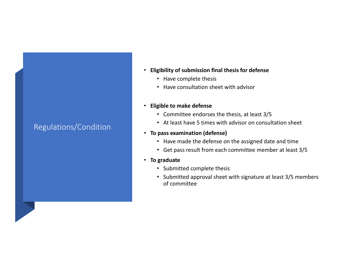### Regulations/Condition

- **Eligibility of submission final thesis for defense**
	- Have complete thesis
	- Have consultation sheet with advisor

#### • **Eligible to make defense**

- Committee endorses the thesis, at least 3/5
- At least have 5 times with advisor on consultation sheet
- **To pass examination (defense)**
	- Have made the defense on the assigned date and time
	- Get pass result from each committee member at least 3/5
- **To graduate**
	- Submitted complete thesis
	- Submitted approval sheet with signature at least 3/5 members of committee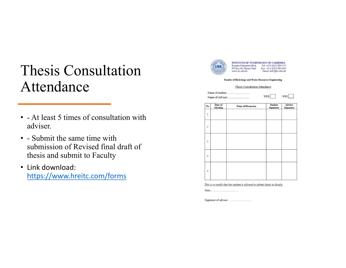## Thesis Consultation Attendance

- - At least 5 times of consultation with adviser.
- - Submit the same time with submission of Revised final draft of thesis and submit to Faculty
- Link download: https://www.hreitc.com/forms



INSTITUTE OF TECHNOLOGY OF CAMBODIA Russian Federation Blvd, Tel: +855 (0)23 880 370<br>PO Box 86, Phnom Penh Fax: +855 (0)23 880 369 Email: info@itc.edu.kh www ite edukh

#### Faculty of Hydrology and Water Resources Engineering

#### Thesis Consultation Attendance

 $WEE$   $WRI$ 

| No.                     | Date of<br>Meeting | <b>Point of Discussion</b> | <b>Student</b><br>Signature | Adviser<br>Signature |
|-------------------------|--------------------|----------------------------|-----------------------------|----------------------|
| $\,1\,$                 |                    |                            |                             |                      |
| $\overline{2}$          |                    |                            |                             |                      |
| $\overline{\mathbf{3}}$ |                    |                            |                             |                      |
| $\overline{4}$          |                    |                            |                             |                      |
| 5                       |                    |                            |                             |                      |

This is to certify that the student is allowed to submit thesis to faculty.

Date................................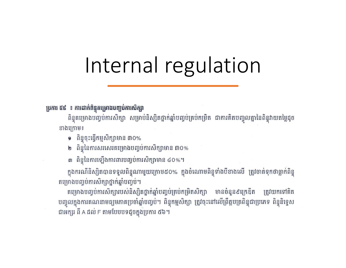# Internal regulation

### ប្រការ ៥៩ ៖ ការដាក់ពិន្ទុគម្រោងបញ្ចប់ការសិក្សា

ពិន្ទុគម្រោងបញ្ចប់ការសិក្សា សម្រាប់និស្សិតថ្នាក់ឆ្នាំបញ្ចប់គ្រប់កម្រិត ជាការគិតបញ្ចូលគ្នានៃពិន្ទុវាយតម្លៃដូច ខាងក្រោម៖

- **១** ពិន្ទុចុះធ្វើកម្មសិក្សាមាន ៣០%
- **២** ពិន្ទុនៃការសរសេរគម្រោងបញ្ចប់ការសិក្សាមាន ៣០%
- ៣ ពិន្ទុនៃការឡើងការពារបញ្ចប់ការសិក្សាមាន ៤០%។

ក្នុងករណីនិស្សិតបានទទួលពិន្ទុណាមួយក្រោម៥០% ក្នុងចំណោមពិន្ទុទាំងបីខាងលើ ត្រូវចាត់ទុកថាធ្លាក់ពិន្ទុ គម្រោងបញ្ចប់ការសិក្សាថ្នាក់ឆ្នាំបញ្ចប់។

គម្រោងបញ្ចប់ការសិក្សារបស់និស្សិតថ្នាក់ឆ្នាំបញ្ចប់គ្រប់កម្រិតសិក្សា មានចំនួន៩ក្រេឌីត ត្រូវយកទៅគិត បញ្ចូលក្នុងការគណនាមធ្យមភាគប្រចាំឆ្នាំបញ្ចប់។ ពិន្ទុកម្មសិក្សា ត្រូវចុះនៅលើព្រឹត្តបត្រពិន្ទុជាប្រភេទ ពិន្ទុនិទ្ទេស ជាអក្សរ ពី A ដល់ F តាមបែបបទដូចក្នុងប្រការ ៥៦។